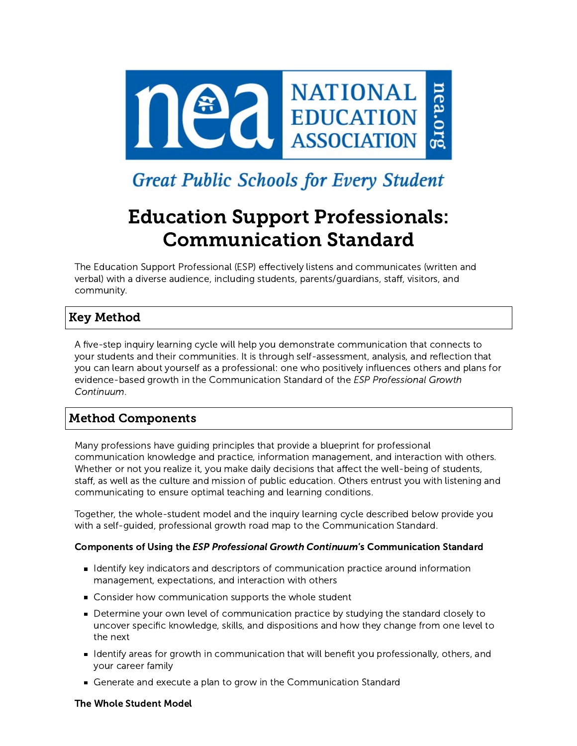

# **Great Public Schools for Every Student**

# Education Support Professionals: Communication Standard

The Education Support Professional (ESP) effectively listens and communicates (written and verbal) with a diverse audience, including students, parents/guardians, staff, visitors, and community.

# Key Method

A five-step inquiry learning cycle will help you demonstrate communication that connects to your students and their communities. It is through self-assessment, analysis, and reflection that you can learn about yourself as a professional: one who positively influences others and plans for evidence-based growth in the Communication Standard of the ESP Professional Growth Continuum.

# Method Components

Many professions have guiding principles that provide a blueprint for professional communication knowledge and practice, information management, and interaction with others. Whether or not you realize it, you make daily decisions that affect the well-being of students, staff, as well as the culture and mission of public education. Others entrust you with listening and communicating to ensure optimal teaching and learning conditions.

Together, the whole-student model and the inquiry learning cycle described below provide you with a self-guided, professional growth road map to the Communication Standard.

#### Components of Using the ESP Professional Growth Continuum's Communication Standard

- I dentify key indicators and descriptors of communication practice around information management, expectations, and interaction with others
- Consider how communication supports the whole student
- Determine your own level of communication practice by studying the standard closely to uncover specific knowledge, skills, and dispositions and how they change from one level to the next
- I dentify areas for growth in communication that will benefit you professionally, others, and your career family
- Generate and execute a plan to grow in the Communication Standard

#### The Whole Student Model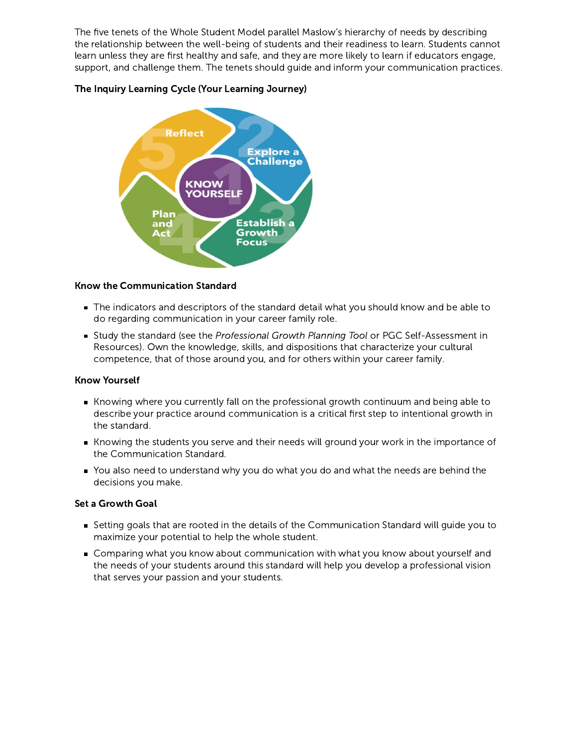The five tenets of the Whole Student Model parallel Maslow's hierarchy of needs by describing the relationship between the well-being of students and their readiness to learn. Students cannot learn unless they are first healthy and safe, and they are more likely to learn if educators engage, support, and challenge them. The tenets should guide and inform your communication practices.

#### The Inquiry Learning Cycle (Your Learning Journey)



#### Know the Communication Standard

- The indicators and descriptors of the standard detail what you should know and be able to do regarding communication in your career family role.
- Study the standard (see the Professional Growth Planning Tool or PGC Self-Assessment in Resources). Own the knowledge, skills, and dispositions that characterize your cultural competence, that of those around you, and for others within your career family.

#### Know Yourself

- Knowing where you currently fall on the professional growth continuum and being able to describe your practice around communication is a critical first step to intentional growth in the standard.
- Knowing the students you serve and their needs will ground your work in the importance of the Communication Standard.
- You also need to understand why you do what you do and what the needs are behind the decisions you make.

#### Set a Growth Goal

- Setting goals that are rooted in the details of the Communication Standard will guide you to maximize your potential to help the whole student.
- Comparing what you know about communication with what you know about yourself and the needs of your students around this standard will help you develop a professional vision that serves your passion and your students.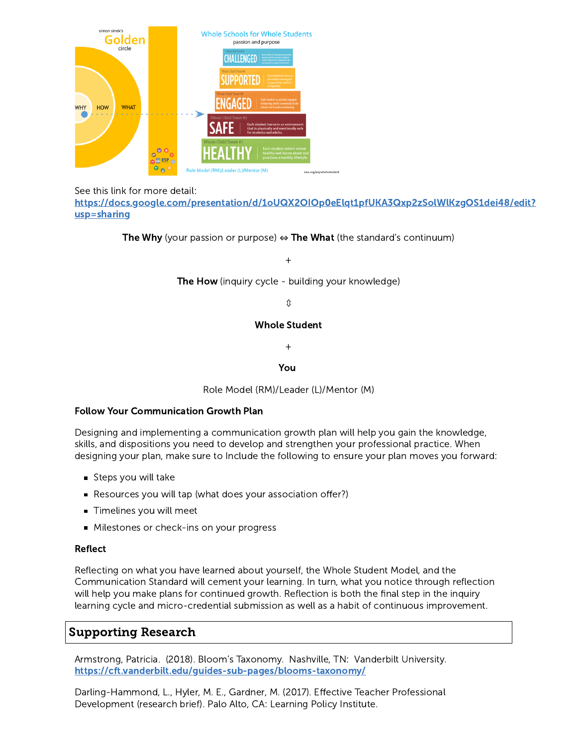

See this link for more detail:

[https://docs.google.com/presentation/d/1oUQX2OIOp0eElqt1pfUKA3Qxp2zSolWlKzgOS1dei48/edit?](https://docs.google.com/presentation/d/1oUQX2OIOp0eElqt1pfUKA3Qxp2zSolWlKzgOS1dei48/edit?usp=sharing) usp=sharing

The Why (your passion or purpose)  $\Leftrightarrow$  The What (the standard's continuum)

+

**The How** (inquiry cycle - building your knowledge)

⇕

#### Whole Student

+

#### You

Role Model (RM)/Leader (L)/Mentor (M)

#### Follow Your Communication Growth Plan

Designing and implementing a communication growth plan will help you gain the knowledge, skills, and dispositions you need to develop and strengthen your professional practice. When designing your plan, make sure to Include the following to ensure your plan moves you forward:

- $\blacksquare$  Steps you will take
- Resources you will tap (what does your association offer?)
- **Timelines you will meet**
- **Milestones or check-ins on your progress**

#### Reflect

Reflecting on what you have learned about yourself, the Whole Student Model, and the Communication Standard will cement your learning. In turn, what you notice through reflection will help you make plans for continued growth. Reflection is both the final step in the inquiry learning cycle and micro-credential submission as well as a habit of continuous improvement.

# Supporting Research

Armstrong, Patricia. (2018). Bloom's Taxonomy. Nashville, TN: Vanderbilt University. <https://cft.vanderbilt.edu/guides-sub-pages/blooms-taxonomy/>

Darling-Hammond, L., Hyler, M. E., Gardner, M. (2017). Effective Teacher Professional Development (research brief). Palo Alto, CA: Learning Policy Institute.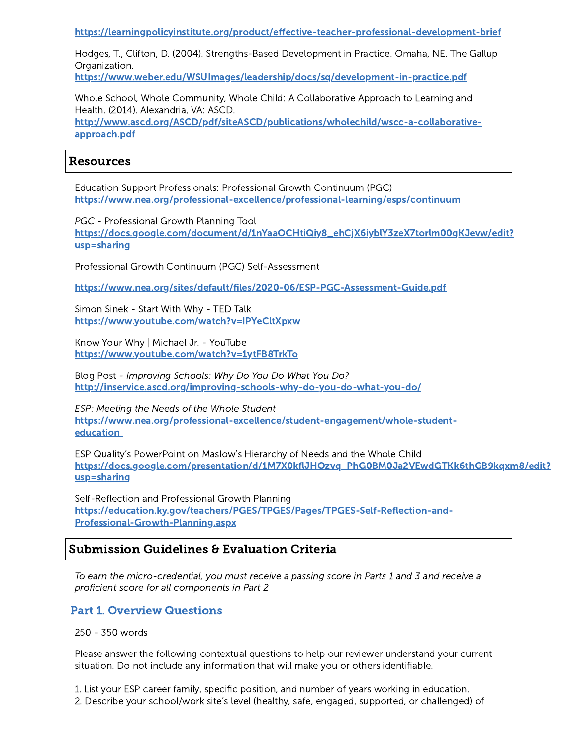<https://learningpolicyinstitute.org/product/effective-teacher-professional-development-brief>

Hodges, T., Clifton, D. (2004). Strengths-Based Development in Practice. Omaha, NE. The Gallup Organization.

<https://www.weber.edu/WSUImages/leadership/docs/sq/development-in-practice.pdf>

Whole School, Whole Community, Whole Child: A Collaborative Approach to Learning and Health. (2014). Alexandria, VA: ASCD. [http://www.ascd.org/ASCD/pdf/siteASCD/publications/wholechild/wscc-a-collaborative](http://www.ascd.org/ASCD/pdf/siteASCD/publications/wholechild/wscc-a-collaborative-approach.pdf)approach.pdf

## Resources

Education Support Professionals: Professional Growth Continuum (PGC) <https://www.nea.org/professional-excellence/professional-learning/esps/continuum>

PGC - Professional Growth Planning Tool [https://docs.google.com/document/d/1nYaaOCHtiQiy8\\_ehCjX6iyblY3zeX7torlm00gKJevw/edit?](https://docs.google.com/document/d/1nYaaOCHtiQiy8_ehCjX6iyblY3zeX7torlm00gKJevw/edit?usp=sharing) usp=sharing

Professional Growth Continuum (PGC) Self-Assessment

<https://www.nea.org/sites/default/files/2020-06/ESP-PGC-Assessment-Guide.pdf>

Simon Sinek - Start With Why - TED Talk <https://www.youtube.com/watch?v=IPYeCltXpxw>

Know Your Why | Michael Jr. - YouTube <https://www.youtube.com/watch?v=1ytFB8TrkTo>

Blog Post - Improving Schools: Why Do You Do What You Do? <http://inservice.ascd.org/improving-schools-why-do-you-do-what-you-do/>

ESP: Meeting the Needs of the Whole Student [https://www.nea.org/professional-excellence/student-engagement/whole-student](http://mc-builder.appspot.com/mchtml/687)education

ESP Quality's PowerPoint on Maslow's Hierarchy of Needs and the Whole Child [https://docs.google.com/presentation/d/1M7X0kflJHOzvq\\_PhG0BM0Ja2VEwdGTKk6thGB9kqxm8/edit?](https://docs.google.com/presentation/d/1M7X0kflJHOzvq_PhG0BM0Ja2VEwdGTKk6thGB9kqxm8/edit?usp=sharing) usp=sharing

Self-Reflection and Professional Growth Planning [https://education.ky.gov/teachers/PGES/TPGES/Pages/TPGES-Self-Reflection-and-](https://education.ky.gov/teachers/PGES/TPGES/Pages/TPGES-Self-Reflection-and-Professional-Growth-Planning.aspx)Professional-Growth-Planning.aspx

## Submission Guidelines & Evaluation Criteria

To earn the micro-credential, you must receive a passing score in Parts 1 and 3 and receive a proficient score for all components in Part 2

## Part 1. Overview Questions

250 - 350 words

Please answer the following contextual questions to help our reviewer understand your current situation. Do not include any information that will make you or others identifiable.

1. List your ESP career family, specific position, and number of years working in education.

2. Describe your school/work site's level (healthy, safe, engaged, supported, or challenged) of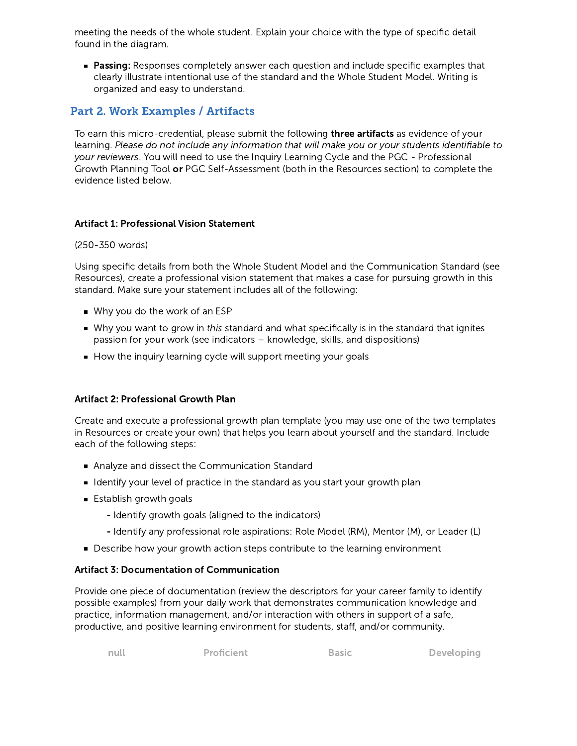meeting the needs of the whole student. Explain your choice with the type of specific detail found in the diagram.

**Passing:** Responses completely answer each question and include specific examples that clearly illustrate intentional use of the standard and the Whole Student Model. Writing is organized and easy to understand.

## Part 2. Work Examples / Artifacts

To earn this micro-credential, please submit the following **three artifacts** as evidence of your learning. Please do not include any information that will make you or your students identifiable to your reviewers. You will need to use the Inquiry Learning Cycle and the PGC - Professional Growth Planning Tool or PGC Self-Assessment (both in the Resources section) to complete the evidence listed below.

### Artifact 1: Professional Vision Statement

#### (250-350 words)

Using specific details from both the Whole Student Model and the Communication Standard (see Resources), create a professional vision statement that makes a case for pursuing growth in this standard. Make sure your statement includes all of the following:

- Why you do the work of an ESP
- Why you want to grow in this standard and what specifically is in the standard that ignites passion for your work (see indicators – knowledge, skills, and dispositions)
- How the inquiry learning cycle will support meeting your goals

## Artifact 2: Professional Growth Plan

Create and execute a professional growth plan template (you may use one of the two templates in Resources or create your own) that helps you learn about yourself and the standard. Include each of the following steps:

- Analyze and dissect the Communication Standard
- I dentify your level of practice in the standard as you start your growth plan
- $\blacksquare$  Establish growth goals
	- Identify growth goals (aligned to the indicators)
	- Identify any professional role aspirations: Role Model (RM), Mentor (M), or Leader (L)
- Describe how your growth action steps contribute to the learning environment

#### Artifact 3: Documentation of Communication

Provide one piece of documentation (review the descriptors for your career family to identify possible examples) from your daily work that demonstrates communication knowledge and practice, information management, and/or interaction with others in support of a safe, productive, and positive learning environment for students, staff, and/or community.

```
null Proficient Basic Developing
```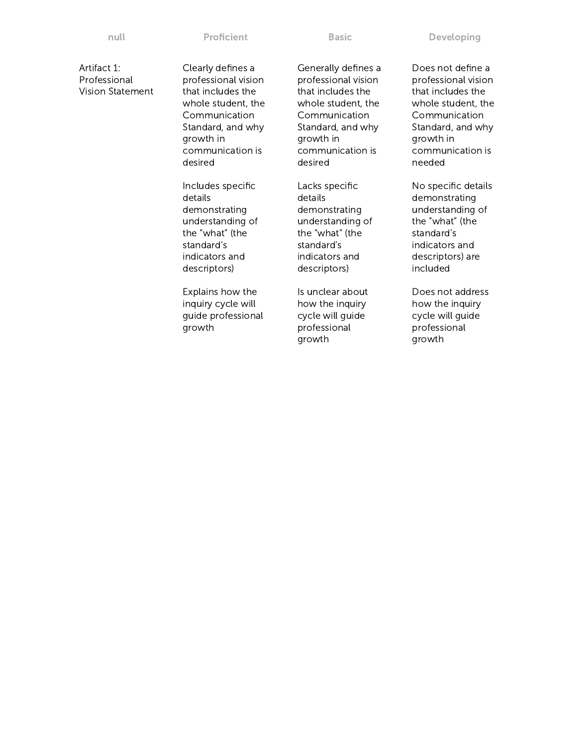Artifact 1: Professional Vision Statement Clearly defines a professional vision that includes the whole student, the Communication Standard, and why growth in communication is desired

Includes specific details demonstrating understanding of the "what" (the standard's indicators and descriptors)

Explains how the inquiry cycle will guide professional growth

Generally defines a professional vision that includes the whole student, the Communication Standard, and why growth in communication is desired

Lacks specific details demonstrating understanding of the "what" (the standard's indicators and descriptors)

Is unclear about how the inquiry cycle will guide professional growth

Does not define a professional vision that includes the whole student, the Communication Standard, and why growth in communication is needed

No specific details demonstrating understanding of the "what" (the standard's indicators and descriptors) are included

Does not address how the inquiry cycle will guide professional growth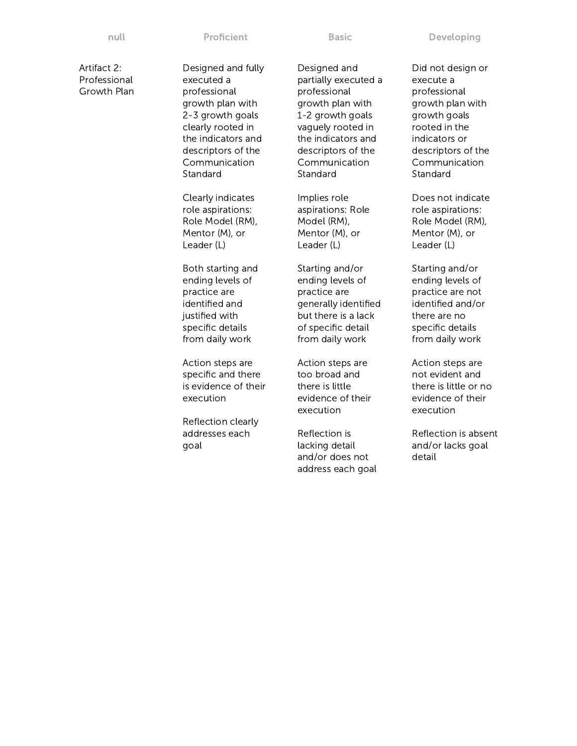Artifact 2: Professional Growth Plan Designed and fully executed a professional growth plan with 2-3 growth goals clearly rooted in the indicators and descriptors of the Communication **Standard** Clearly indicates role aspirations: Role Model (RM), Mentor (M), or Leader (L) Both starting and ending levels of practice are identified and justified with specific details from daily work Action steps are specific and there is evidence of their execution Reflection clearly addresses each goal Designed and partially executed a professional growth plan with 1-2 growth goals vaguely rooted in the indicators and descriptors of the Communication Standard Implies role aspirations: Role Model (RM), Mentor (M), or Leader (L) Starting and/or ending levels of practice are generally identified but there is a lack of specific detail from daily work Action steps are too broad and there is little evidence of their execution Reflection is lacking detail and/or does not address each goal

Did not design or execute a professional growth plan with growth goals rooted in the indicators or descriptors of the Communication Standard

Does not indicate role aspirations: Role Model (RM), Mentor (M), or Leader (L)

Starting and/or ending levels of practice are not identified and/or there are no specific details from daily work

Action steps are not evident and there is little or no evidence of their execution

Reflection is absent and/or lacks goal detail